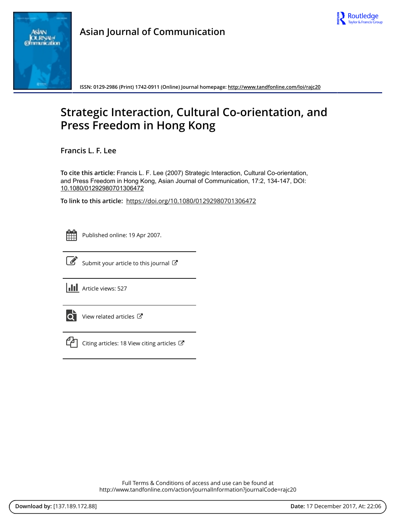



**Asian Journal of Communication**

**ISSN: 0129-2986 (Print) 1742-0911 (Online) Journal homepage:<http://www.tandfonline.com/loi/rajc20>**

# **Strategic Interaction, Cultural Co-orientation, and Press Freedom in Hong Kong**

**Francis L. F. Lee**

**To cite this article:** Francis L. F. Lee (2007) Strategic Interaction, Cultural Co-orientation, and Press Freedom in Hong Kong, Asian Journal of Communication, 17:2, 134-147, DOI: [10.1080/01292980701306472](http://www.tandfonline.com/action/showCitFormats?doi=10.1080/01292980701306472)

**To link to this article:** <https://doi.org/10.1080/01292980701306472>

|  | - |  |
|--|---|--|
|  |   |  |
|  |   |  |
|  |   |  |

Published online: 19 Apr 2007.



 $\overrightarrow{S}$  [Submit your article to this journal](http://www.tandfonline.com/action/authorSubmission?journalCode=rajc20&show=instructions)  $\overrightarrow{S}$ 

**III** Article views: 527



 $\overline{Q}$  [View related articles](http://www.tandfonline.com/doi/mlt/10.1080/01292980701306472)  $\overline{C}$ 



 $\mathbb{C}$  [Citing articles: 18 View citing articles](http://www.tandfonline.com/doi/citedby/10.1080/01292980701306472#tabModule)  $\mathbb{C}$ 

Full Terms & Conditions of access and use can be found at <http://www.tandfonline.com/action/journalInformation?journalCode=rajc20>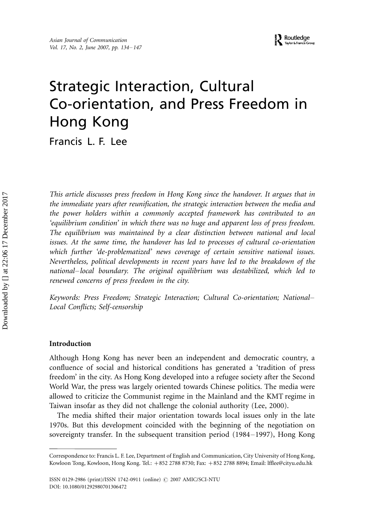# Strategic Interaction, Cultural Co-orientation, and Press Freedom in Hong Kong

Francis L. F. Lee

This article discusses press freedom in Hong Kong since the handover. It argues that in the immediate years after reunification, the strategic interaction between the media and the power holders within a commonly accepted framework has contributed to an 'equilibrium condition' in which there was no huge and apparent loss of press freedom. The equilibrium was maintained by a clear distinction between national and local issues. At the same time, the handover has led to processes of cultural co-orientation which further 'de-problematized' news coverage of certain sensitive national issues. Nevertheless, political developments in recent years have led to the breakdown of the national-local boundary. The original equilibrium was destabilized, which led to renewed concerns of press freedom in the city.

Keywords: Press Freedom; Strategic Interaction; Cultural Co-orientation; National Local Conflicts; Self-censorship

## Introduction

Although Hong Kong has never been an independent and democratic country, a confluence of social and historical conditions has generated a 'tradition of press freedom' in the city. As Hong Kong developed into a refugee society after the Second World War, the press was largely oriented towards Chinese politics. The media were allowed to criticize the Communist regime in the Mainland and the KMT regime in Taiwan insofar as they did not challenge the colonial authority (Lee, 2000).

The media shifted their major orientation towards local issues only in the late 1970s. But this development coincided with the beginning of the negotiation on sovereignty transfer. In the subsequent transition period  $(1984-1997)$ , Hong Kong

Correspondence to: Francis L. F. Lee, Department of English and Communication, City University of Hong Kong, Kowloon Tong, Kowloon, Hong Kong. Tel.: +852 2788 8730; Fax: +852 2788 8894; Email: lfflee@cityu.edu.hk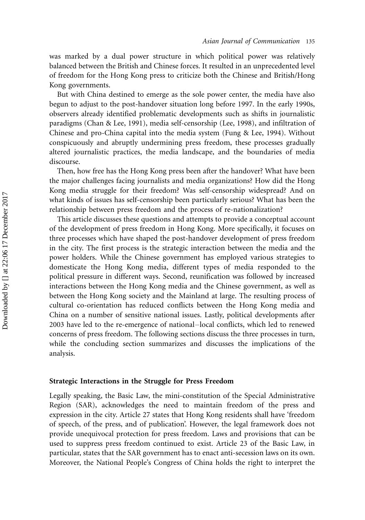was marked by a dual power structure in which political power was relatively balanced between the British and Chinese forces. It resulted in an unprecedented level of freedom for the Hong Kong press to criticize both the Chinese and British/Hong Kong governments.

But with China destined to emerge as the sole power center, the media have also begun to adjust to the post-handover situation long before 1997. In the early 1990s, observers already identified problematic developments such as shifts in journalistic paradigms (Chan & Lee, 1991), media self-censorship (Lee, 1998), and infiltration of Chinese and pro-China capital into the media system (Fung & Lee, 1994). Without conspicuously and abruptly undermining press freedom, these processes gradually altered journalistic practices, the media landscape, and the boundaries of media discourse.

Then, how free has the Hong Kong press been after the handover? What have been the major challenges facing journalists and media organizations? How did the Hong Kong media struggle for their freedom? Was self-censorship widespread? And on what kinds of issues has self-censorship been particularly serious? What has been the relationship between press freedom and the process of re-nationalization?

This article discusses these questions and attempts to provide a conceptual account of the development of press freedom in Hong Kong. More specifically, it focuses on three processes which have shaped the post-handover development of press freedom in the city. The first process is the strategic interaction between the media and the power holders. While the Chinese government has employed various strategies to domesticate the Hong Kong media, different types of media responded to the political pressure in different ways. Second, reunification was followed by increased interactions between the Hong Kong media and the Chinese government, as well as between the Hong Kong society and the Mainland at large. The resulting process of cultural co-orientation has reduced conflicts between the Hong Kong media and China on a number of sensitive national issues. Lastly, political developments after 2003 have led to the re-emergence of national-local conflicts, which led to renewed concerns of press freedom. The following sections discuss the three processes in turn, while the concluding section summarizes and discusses the implications of the analysis.

#### Strategic Interactions in the Struggle for Press Freedom

Legally speaking, the Basic Law, the mini-constitution of the Special Administrative Region (SAR), acknowledges the need to maintain freedom of the press and expression in the city. Article 27 states that Hong Kong residents shall have 'freedom of speech, of the press, and of publication'. However, the legal framework does not provide unequivocal protection for press freedom. Laws and provisions that can be used to suppress press freedom continued to exist. Article 23 of the Basic Law, in particular, states that the SAR government has to enact anti-secession laws on its own. Moreover, the National People's Congress of China holds the right to interpret the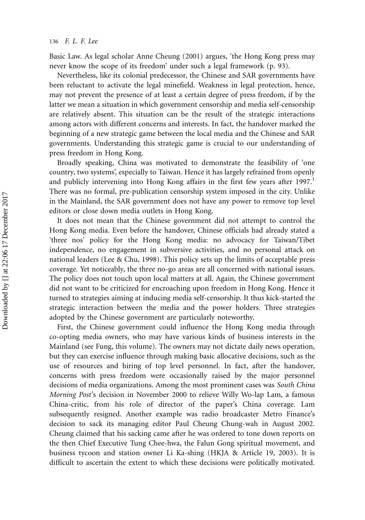Basic Law. As legal scholar Anne Cheung (2001) argues, 'the Hong Kong press may never know the scope of its freedom' under such a legal framework (p. 93).

Nevertheless, like its colonial predecessor, the Chinese and SAR governments have been reluctant to activate the legal minefield. Weakness in legal protection, hence, may not prevent the presence of at least a certain degree of press freedom, if by the latter we mean a situation in which government censorship and media self-censorship are relatively absent. This situation can be the result of the strategic interactions among actors with different concerns and interests. In fact, the handover marked the beginning of a new strategic game between the local media and the Chinese and SAR governments. Understanding this strategic game is crucial to our understanding of press freedom in Hong Kong.

Broadly speaking, China was motivated to demonstrate the feasibility of 'one country, two systems', especially to Taiwan. Hence it has largely refrained from openly and publicly intervening into Hong Kong affairs in the first few years after 1997.<sup>1</sup> There was no formal, pre-publication censorship system imposed in the city. Unlike in the Mainland, the SAR government does not have any power to remove top level editors or close down media outlets in Hong Kong.

It does not mean that the Chinese government did not attempt to control the Hong Kong media. Even before the handover, Chinese officials had already stated a 'three nos' policy for the Hong Kong media: no advocacy for Taiwan/Tibet independence, no engagement in subversive activities, and no personal attack on national leaders (Lee & Chu, 1998). This policy sets up the limits of acceptable press coverage. Yet noticeably, the three no-go areas are all concerned with national issues. The policy does not touch upon local matters at all. Again, the Chinese government did not want to be criticized for encroaching upon freedom in Hong Kong. Hence it turned to strategies aiming at inducing media self-censorship. It thus kick-started the strategic interaction between the media and the power holders. Three strategies adopted by the Chinese government are particularly noteworthy.

First, the Chinese government could influence the Hong Kong media through co-opting media owners, who may have various kinds of business interests in the Mainland (see Fung, this volume). The owners may not dictate daily news operation, but they can exercise influence through making basic allocative decisions, such as the use of resources and hiring of top level personnel. In fact, after the handover, concerns with press freedom were occasionally raised by the major personnel decisions of media organizations. Among the most prominent cases was South China Morning Post's decision in November 2000 to relieve Willy Wo-lap Lam, a famous China-critic, from his role of director of the paper's China coverage. Lam subsequently resigned. Another example was radio broadcaster Metro Finance's decision to sack its managing editor Paul Cheung Chung-wah in August 2002. Cheung claimed that his sacking came after he was ordered to tone down reports on the then Chief Executive Tung Chee-hwa, the Falun Gong spiritual movement, and business tycoon and station owner Li Ka-shing (HKJA & Article 19, 2003). It is difficult to ascertain the extent to which these decisions were politically motivated.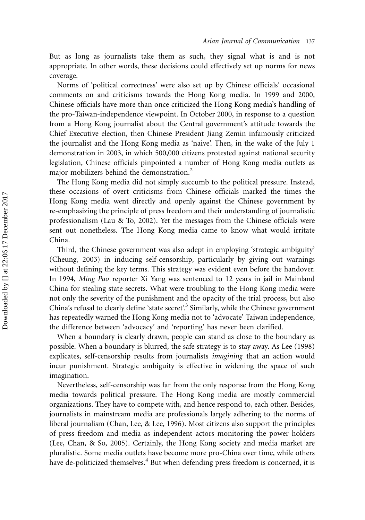But as long as journalists take them as such, they signal what is and is not appropriate. In other words, these decisions could effectively set up norms for news coverage.

Norms of 'political correctness' were also set up by Chinese officials' occasional comments on and criticisms towards the Hong Kong media. In 1999 and 2000, Chinese officials have more than once criticized the Hong Kong media's handling of the pro-Taiwan-independence viewpoint. In October 2000, in response to a question from a Hong Kong journalist about the Central government's attitude towards the Chief Executive election, then Chinese President Jiang Zemin infamously criticized the journalist and the Hong Kong media as 'naive'. Then, in the wake of the July 1 demonstration in 2003, in which 500,000 citizens protested against national security legislation, Chinese officials pinpointed a number of Hong Kong media outlets as major mobilizers behind the demonstration.<sup>2</sup>

The Hong Kong media did not simply succumb to the political pressure. Instead, these occasions of overt criticisms from Chinese officials marked the times the Hong Kong media went directly and openly against the Chinese government by re-emphasizing the principle of press freedom and their understanding of journalistic professionalism (Lau & To, 2002). Yet the messages from the Chinese officials were sent out nonetheless. The Hong Kong media came to know what would irritate China.

Third, the Chinese government was also adept in employing 'strategic ambiguity' (Cheung, 2003) in inducing self-censorship, particularly by giving out warnings without defining the key terms. This strategy was evident even before the handover. In 1994, Ming Pao reporter Xi Yang was sentenced to 12 years in jail in Mainland China for stealing state secrets. What were troubling to the Hong Kong media were not only the severity of the punishment and the opacity of the trial process, but also China's refusal to clearly define 'state secret'.<sup>3</sup> Similarly, while the Chinese government has repeatedly warned the Hong Kong media not to 'advocate' Taiwan independence, the difference between 'advocacy' and 'reporting' has never been clarified.

When a boundary is clearly drawn, people can stand as close to the boundary as possible. When a boundary is blurred, the safe strategy is to stay away. As Lee (1998) explicates, self-censorship results from journalists imagining that an action would incur punishment. Strategic ambiguity is effective in widening the space of such imagination.

Nevertheless, self-censorship was far from the only response from the Hong Kong media towards political pressure. The Hong Kong media are mostly commercial organizations. They have to compete with, and hence respond to, each other. Besides, journalists in mainstream media are professionals largely adhering to the norms of liberal journalism (Chan, Lee, & Lee, 1996). Most citizens also support the principles of press freedom and media as independent actors monitoring the power holders (Lee, Chan, & So, 2005). Certainly, the Hong Kong society and media market are pluralistic. Some media outlets have become more pro-China over time, while others have de-politicized themselves.<sup>4</sup> But when defending press freedom is concerned, it is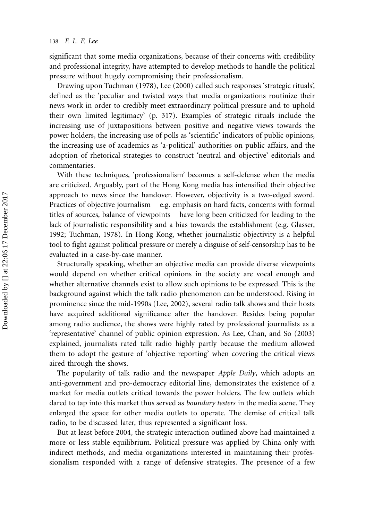significant that some media organizations, because of their concerns with credibility and professional integrity, have attempted to develop methods to handle the political pressure without hugely compromising their professionalism.

Drawing upon Tuchman (1978), Lee (2000) called such responses 'strategic rituals', defined as the 'peculiar and twisted ways that media organizations routinize their news work in order to credibly meet extraordinary political pressure and to uphold their own limited legitimacy' (p. 317). Examples of strategic rituals include the increasing use of juxtapositions between positive and negative views towards the power holders, the increasing use of polls as 'scientific' indicators of public opinions, the increasing use of academics as 'a-political' authorities on public affairs, and the adoption of rhetorical strategies to construct 'neutral and objective' editorials and commentaries.

With these techniques, 'professionalism' becomes a self-defense when the media are criticized. Arguably, part of the Hong Kong media has intensified their objective approach to news since the handover. However, objectivity is a two-edged sword. Practices of objective journalism—e.g. emphasis on hard facts, concerns with formal titles of sources, balance of viewpoints—have long been criticized for leading to the lack of journalistic responsibility and a bias towards the establishment (e.g. Glasser, 1992; Tuchman, 1978). In Hong Kong, whether journalistic objectivity is a helpful tool to fight against political pressure or merely a disguise of self-censorship has to be evaluated in a case-by-case manner.

Structurally speaking, whether an objective media can provide diverse viewpoints would depend on whether critical opinions in the society are vocal enough and whether alternative channels exist to allow such opinions to be expressed. This is the background against which the talk radio phenomenon can be understood. Rising in prominence since the mid-1990s (Lee, 2002), several radio talk shows and their hosts have acquired additional significance after the handover. Besides being popular among radio audience, the shows were highly rated by professional journalists as a 'representative' channel of public opinion expression. As Lee, Chan, and So (2003) explained, journalists rated talk radio highly partly because the medium allowed them to adopt the gesture of 'objective reporting' when covering the critical views aired through the shows.

The popularity of talk radio and the newspaper Apple Daily, which adopts an anti-government and pro-democracy editorial line, demonstrates the existence of a market for media outlets critical towards the power holders. The few outlets which dared to tap into this market thus served as *boundary testers* in the media scene. They enlarged the space for other media outlets to operate. The demise of critical talk radio, to be discussed later, thus represented a significant loss.

But at least before 2004, the strategic interaction outlined above had maintained a more or less stable equilibrium. Political pressure was applied by China only with indirect methods, and media organizations interested in maintaining their professionalism responded with a range of defensive strategies. The presence of a few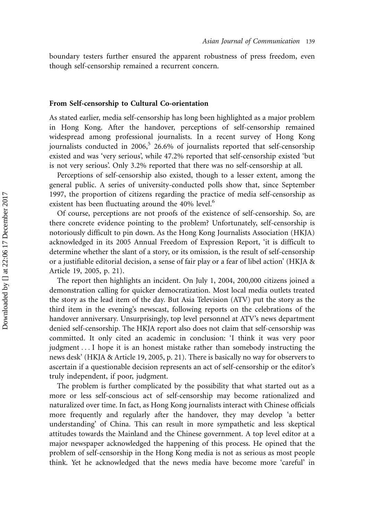boundary testers further ensured the apparent robustness of press freedom, even though self-censorship remained a recurrent concern.

#### From Self-censorship to Cultural Co-orientation

As stated earlier, media self-censorship has long been highlighted as a major problem in Hong Kong. After the handover, perceptions of self-censorship remained widespread among professional journalists. In a recent survey of Hong Kong journalists conducted in 2006,<sup>5</sup> 26.6% of journalists reported that self-censorship existed and was 'very serious', while 47.2% reported that self-censorship existed 'but is not very serious'. Only 3.2% reported that there was no self-censorship at all.

Perceptions of self-censorship also existed, though to a lesser extent, among the general public. A series of university-conducted polls show that, since September 1997, the proportion of citizens regarding the practice of media self-censorship as existent has been fluctuating around the 40% level.<sup>6</sup>

Of course, perceptions are not proofs of the existence of self-censorship. So, are there concrete evidence pointing to the problem? Unfortunately, self-censorship is notoriously difficult to pin down. As the Hong Kong Journalists Association (HKJA) acknowledged in its 2005 Annual Freedom of Expression Report, 'it is difficult to determine whether the slant of a story, or its omission, is the result of self-censorship or a justifiable editorial decision, a sense of fair play or a fear of libel action' (HKJA & Article 19, 2005, p. 21).

The report then highlights an incident. On July 1, 2004, 200,000 citizens joined a demonstration calling for quicker democratization. Most local media outlets treated the story as the lead item of the day. But Asia Television (ATV) put the story as the third item in the evening's newscast, following reports on the celebrations of the handover anniversary. Unsurprisingly, top level personnel at ATV's news department denied self-censorship. The HKJA report also does not claim that self-censorship was committed. It only cited an academic in conclusion: 'I think it was very poor judgment ... I hope it is an honest mistake rather than somebody instructing the news desk' (HKJA & Article 19, 2005, p. 21). There is basically no way for observers to ascertain if a questionable decision represents an act of self-censorship or the editor's truly independent, if poor, judgment.

The problem is further complicated by the possibility that what started out as a more or less self-conscious act of self-censorship may become rationalized and naturalized over time. In fact, as Hong Kong journalists interact with Chinese officials more frequently and regularly after the handover, they may develop 'a better understanding' of China. This can result in more sympathetic and less skeptical attitudes towards the Mainland and the Chinese government. A top level editor at a major newspaper acknowledged the happening of this process. He opined that the problem of self-censorship in the Hong Kong media is not as serious as most people think. Yet he acknowledged that the news media have become more 'careful' in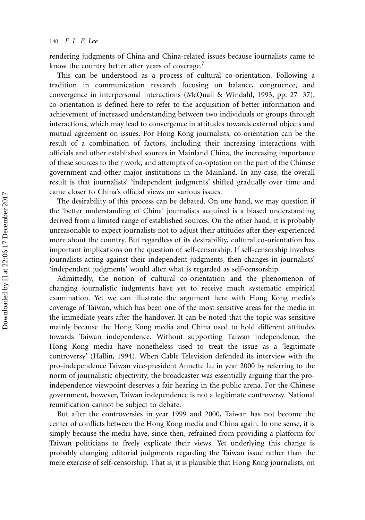rendering judgments of China and China-related issues because journalists came to know the country better after years of coverage.<sup>7</sup>

This can be understood as a process of cultural co-orientation. Following a tradition in communication research focusing on balance, congruence, and convergence in interpersonal interactions (McQuail & Windahl, 1993, pp.  $27-37$ ), co-orientation is defined here to refer to the acquisition of better information and achievement of increased understanding between two individuals or groups through interactions, which may lead to convergence in attitudes towards external objects and mutual agreement on issues. For Hong Kong journalists, co-orientation can be the result of a combination of factors, including their increasing interactions with officials and other established sources in Mainland China, the increasing importance of these sources to their work, and attempts of co-optation on the part of the Chinese government and other major institutions in the Mainland. In any case, the overall result is that journalists' 'independent judgments' shifted gradually over time and came closer to China's official views on various issues.

The desirability of this process can be debated. On one hand, we may question if the 'better understanding of China' journalists acquired is a biased understanding derived from a limited range of established sources. On the other hand, it is probably unreasonable to expect journalists not to adjust their attitudes after they experienced more about the country. But regardless of its desirability, cultural co-orientation has important implications on the question of self-censorship. If self-censorship involves journalists acting against their independent judgments, then changes in journalists' 'independent judgments' would alter what is regarded as self-censorship.

Admittedly, the notion of cultural co-orientation and the phenomenon of changing journalistic judgments have yet to receive much systematic empirical examination. Yet we can illustrate the argument here with Hong Kong media's coverage of Taiwan, which has been one of the most sensitive areas for the media in the immediate years after the handover. It can be noted that the topic was sensitive mainly because the Hong Kong media and China used to hold different attitudes towards Taiwan independence. Without supporting Taiwan independence, the Hong Kong media have nonetheless used to treat the issue as a 'legitimate controversy' (Hallin, 1994). When Cable Television defended its interview with the pro-independence Taiwan vice-president Annette Lu in year 2000 by referring to the norm of journalistic objectivity, the broadcaster was essentially arguing that the proindependence viewpoint deserves a fair hearing in the public arena. For the Chinese government, however, Taiwan independence is not a legitimate controversy. National reunification cannot be subject to debate.

But after the controversies in year 1999 and 2000, Taiwan has not become the center of conflicts between the Hong Kong media and China again. In one sense, it is simply because the media have, since then, refrained from providing a platform for Taiwan politicians to freely explicate their views. Yet underlying this change is probably changing editorial judgments regarding the Taiwan issue rather than the mere exercise of self-censorship. That is, it is plausible that Hong Kong journalists, on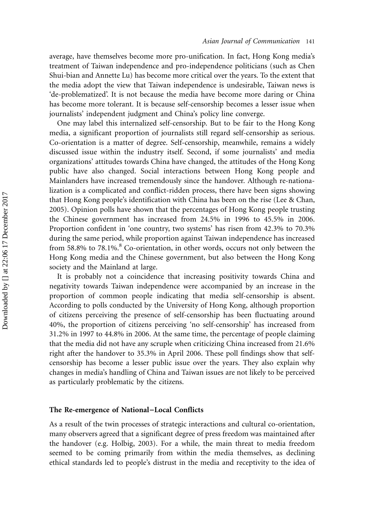average, have themselves become more pro-unification. In fact, Hong Kong media's treatment of Taiwan independence and pro-independence politicians (such as Chen Shui-bian and Annette Lu) has become more critical over the years. To the extent that the media adopt the view that Taiwan independence is undesirable, Taiwan news is 'de-problematized'. It is not because the media have become more daring or China has become more tolerant. It is because self-censorship becomes a lesser issue when journalists' independent judgment and China's policy line converge.

One may label this internalized self-censorship. But to be fair to the Hong Kong media, a significant proportion of journalists still regard self-censorship as serious. Co-orientation is a matter of degree. Self-censorship, meanwhile, remains a widely discussed issue within the industry itself. Second, if some journalists' and media organizations' attitudes towards China have changed, the attitudes of the Hong Kong public have also changed. Social interactions between Hong Kong people and Mainlanders have increased tremendously since the handover. Although re-nationalization is a complicated and conflict-ridden process, there have been signs showing that Hong Kong people's identification with China has been on the rise (Lee & Chan, 2005). Opinion polls have shown that the percentages of Hong Kong people trusting the Chinese government has increased from 24.5% in 1996 to 45.5% in 2006. Proportion confident in 'one country, two systems' has risen from 42.3% to 70.3% during the same period, while proportion against Taiwan independence has increased from 58.8% to  $78.1\%$ .<sup>8</sup> Co-orientation, in other words, occurs not only between the Hong Kong media and the Chinese government, but also between the Hong Kong society and the Mainland at large.

It is probably not a coincidence that increasing positivity towards China and negativity towards Taiwan independence were accompanied by an increase in the proportion of common people indicating that media self-censorship is absent. According to polls conducted by the University of Hong Kong, although proportion of citizens perceiving the presence of self-censorship has been fluctuating around 40%, the proportion of citizens perceiving 'no self-censorship' has increased from 31.2% in 1997 to 44.8% in 2006. At the same time, the percentage of people claiming that the media did not have any scruple when criticizing China increased from 21.6% right after the handover to 35.3% in April 2006. These poll findings show that selfcensorship has become a lesser public issue over the years. They also explain why changes in media's handling of China and Taiwan issues are not likely to be perceived as particularly problematic by the citizens.

#### The Re-emergence of National-Local Conflicts

As a result of the twin processes of strategic interactions and cultural co-orientation, many observers agreed that a significant degree of press freedom was maintained after the handover (e.g. Holbig, 2003). For a while, the main threat to media freedom seemed to be coming primarily from within the media themselves, as declining ethical standards led to people's distrust in the media and receptivity to the idea of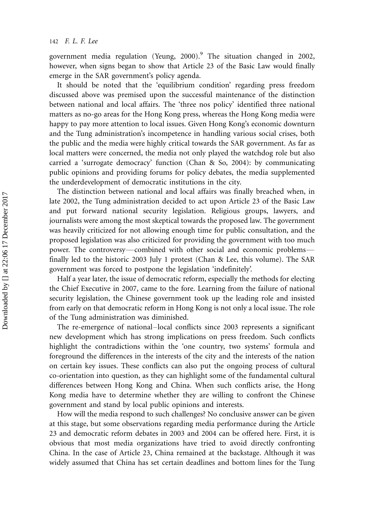government media regulation (Yeung, 2000).<sup>9</sup> The situation changed in 2002, however, when signs began to show that Article 23 of the Basic Law would finally emerge in the SAR government's policy agenda.

It should be noted that the 'equilibrium condition' regarding press freedom discussed above was premised upon the successful maintenance of the distinction between national and local affairs. The 'three nos policy' identified three national matters as no-go areas for the Hong Kong press, whereas the Hong Kong media were happy to pay more attention to local issues. Given Hong Kong's economic downturn and the Tung administration's incompetence in handling various social crises, both the public and the media were highly critical towards the SAR government. As far as local matters were concerned, the media not only played the watchdog role but also carried a 'surrogate democracy' function (Chan & So, 2004): by communicating public opinions and providing forums for policy debates, the media supplemented the underdevelopment of democratic institutions in the city.

The distinction between national and local affairs was finally breached when, in late 2002, the Tung administration decided to act upon Article 23 of the Basic Law and put forward national security legislation. Religious groups, lawyers, and journalists were among the most skeptical towards the proposed law. The government was heavily criticized for not allowing enough time for public consultation, and the proposed legislation was also criticized for providing the government with too much power. The controversy-combined with other social and economic problemsfinally led to the historic 2003 July 1 protest (Chan & Lee, this volume). The SAR government was forced to postpone the legislation 'indefinitely'.

Half a year later, the issue of democratic reform, especially the methods for electing the Chief Executive in 2007, came to the fore. Learning from the failure of national security legislation, the Chinese government took up the leading role and insisted from early on that democratic reform in Hong Kong is not only a local issue. The role of the Tung administration was diminished.

The re-emergence of national-local conflicts since 2003 represents a significant new development which has strong implications on press freedom. Such conflicts highlight the contradictions within the 'one country, two systems' formula and foreground the differences in the interests of the city and the interests of the nation on certain key issues. These conflicts can also put the ongoing process of cultural co-orientation into question, as they can highlight some of the fundamental cultural differences between Hong Kong and China. When such conflicts arise, the Hong Kong media have to determine whether they are willing to confront the Chinese government and stand by local public opinions and interests.

How will the media respond to such challenges? No conclusive answer can be given at this stage, but some observations regarding media performance during the Article 23 and democratic reform debates in 2003 and 2004 can be offered here. First, it is obvious that most media organizations have tried to avoid directly confronting China. In the case of Article 23, China remained at the backstage. Although it was widely assumed that China has set certain deadlines and bottom lines for the Tung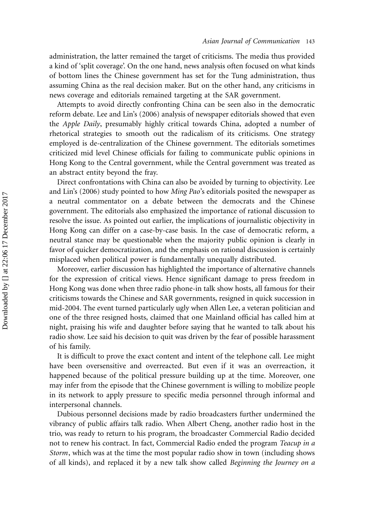administration, the latter remained the target of criticisms. The media thus provided a kind of 'split coverage'. On the one hand, news analysis often focused on what kinds of bottom lines the Chinese government has set for the Tung administration, thus assuming China as the real decision maker. But on the other hand, any criticisms in news coverage and editorials remained targeting at the SAR government.

Attempts to avoid directly confronting China can be seen also in the democratic reform debate. Lee and Lin's (2006) analysis of newspaper editorials showed that even the Apple Daily, presumably highly critical towards China, adopted a number of rhetorical strategies to smooth out the radicalism of its criticisms. One strategy employed is de-centralization of the Chinese government. The editorials sometimes criticized mid level Chinese officials for failing to communicate public opinions in Hong Kong to the Central government, while the Central government was treated as an abstract entity beyond the fray.

Direct confrontations with China can also be avoided by turning to objectivity. Lee and Lin's (2006) study pointed to how Ming Pao's editorials posited the newspaper as a neutral commentator on a debate between the democrats and the Chinese government. The editorials also emphasized the importance of rational discussion to resolve the issue. As pointed out earlier, the implications of journalistic objectivity in Hong Kong can differ on a case-by-case basis. In the case of democratic reform, a neutral stance may be questionable when the majority public opinion is clearly in favor of quicker democratization, and the emphasis on rational discussion is certainly misplaced when political power is fundamentally unequally distributed.

Moreover, earlier discussion has highlighted the importance of alternative channels for the expression of critical views. Hence significant damage to press freedom in Hong Kong was done when three radio phone-in talk show hosts, all famous for their criticisms towards the Chinese and SAR governments, resigned in quick succession in mid-2004. The event turned particularly ugly when Allen Lee, a veteran politician and one of the three resigned hosts, claimed that one Mainland official has called him at night, praising his wife and daughter before saying that he wanted to talk about his radio show. Lee said his decision to quit was driven by the fear of possible harassment of his family.

It is difficult to prove the exact content and intent of the telephone call. Lee might have been oversensitive and overreacted. But even if it was an overreaction, it happened because of the political pressure building up at the time. Moreover, one may infer from the episode that the Chinese government is willing to mobilize people in its network to apply pressure to specific media personnel through informal and interpersonal channels.

Dubious personnel decisions made by radio broadcasters further undermined the vibrancy of public affairs talk radio. When Albert Cheng, another radio host in the trio, was ready to return to his program, the broadcaster Commercial Radio decided not to renew his contract. In fact, Commercial Radio ended the program Teacup in a Storm, which was at the time the most popular radio show in town (including shows of all kinds), and replaced it by a new talk show called Beginning the Journey on a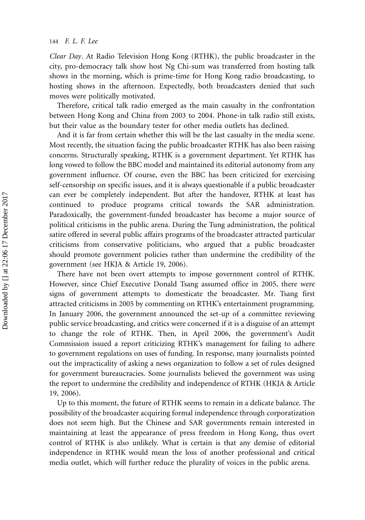#### 144 F. L. F. Lee

Clear Day. At Radio Television Hong Kong (RTHK), the public broadcaster in the city, pro-democracy talk show host Ng Chi-sum was transferred from hosting talk shows in the morning, which is prime-time for Hong Kong radio broadcasting, to hosting shows in the afternoon. Expectedly, both broadcasters denied that such moves were politically motivated.

Therefore, critical talk radio emerged as the main casualty in the confrontation between Hong Kong and China from 2003 to 2004. Phone-in talk radio still exists, but their value as the boundary tester for other media outlets has declined.

And it is far from certain whether this will be the last casualty in the media scene. Most recently, the situation facing the public broadcaster RTHK has also been raising concerns. Structurally speaking, RTHK is a government department. Yet RTHK has long vowed to follow the BBC model and maintained its editorial autonomy from any government influence. Of course, even the BBC has been criticized for exercising self-censorship on specific issues, and it is always questionable if a public broadcaster can ever be completely independent. But after the handover, RTHK at least has continued to produce programs critical towards the SAR administration. Paradoxically, the government-funded broadcaster has become a major source of political criticisms in the public arena. During the Tung administration, the political satire offered in several public affairs programs of the broadcaster attracted particular criticisms from conservative politicians, who argued that a public broadcaster should promote government policies rather than undermine the credibility of the government (see HKJA & Article 19, 2006).

There have not been overt attempts to impose government control of RTHK. However, since Chief Executive Donald Tsang assumed office in 2005, there were signs of government attempts to domesticate the broadcaster. Mr. Tsang first attracted criticisms in 2005 by commenting on RTHK's entertainment programming. In January 2006, the government announced the set-up of a committee reviewing public service broadcasting, and critics were concerned if it is a disguise of an attempt to change the role of RTHK. Then, in April 2006, the government's Audit Commission issued a report criticizing RTHK's management for failing to adhere to government regulations on uses of funding. In response, many journalists pointed out the impracticality of asking a news organization to follow a set of rules designed for government bureaucracies. Some journalists believed the government was using the report to undermine the credibility and independence of RTHK (HKJA & Article 19, 2006).

Up to this moment, the future of RTHK seems to remain in a delicate balance. The possibility of the broadcaster acquiring formal independence through corporatization does not seem high. But the Chinese and SAR governments remain interested in maintaining at least the appearance of press freedom in Hong Kong, thus overt control of RTHK is also unlikely. What is certain is that any demise of editorial independence in RTHK would mean the loss of another professional and critical media outlet, which will further reduce the plurality of voices in the public arena.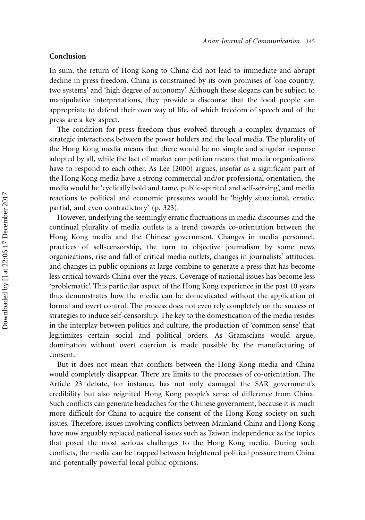#### Conclusion

In sum, the return of Hong Kong to China did not lead to immediate and abrupt decline in press freedom. China is constrained by its own promises of 'one country, two systems' and 'high degree of autonomy'. Although these slogans can be subject to manipulative interpretations, they provide a discourse that the local people can appropriate to defend their own way of life, of which freedom of speech and of the press are a key aspect.

The condition for press freedom thus evolved through a complex dynamics of strategic interactions between the power holders and the local media. The plurality of the Hong Kong media means that there would be no simple and singular response adopted by all, while the fact of market competition means that media organizations have to respond to each other. As Lee (2000) argues, insofar as a significant part of the Hong Kong media have a strong commercial and/or professional orientation, the media would be 'cyclically bold and tame, public-spirited and self-serving', and media reactions to political and economic pressures would be 'highly situational, erratic, partial, and even contradictory' (p. 323).

However, underlying the seemingly erratic fluctuations in media discourses and the continual plurality of media outlets is a trend towards co-orientation between the Hong Kong media and the Chinese government. Changes in media personnel, practices of self-censorship, the turn to objective journalism by some news organizations, rise and fall of critical media outlets, changes in journalists' attitudes, and changes in public opinions at large combine to generate a press that has become less critical towards China over the years. Coverage of national issues has become less 'problematic'. This particular aspect of the Hong Kong experience in the past 10 years thus demonstrates how the media can be domesticated without the application of formal and overt control. The process does not even rely completely on the success of strategies to induce self-censorship. The key to the domestication of the media resides in the interplay between politics and culture, the production of 'common sense' that legitimizes certain social and political orders. As Gramscians would argue, domination without overt coercion is made possible by the manufacturing of consent.

But it does not mean that conflicts between the Hong Kong media and China would completely disappear. There are limits to the processes of co-orientation. The Article 23 debate, for instance, has not only damaged the SAR government's credibility but also reignited Hong Kong people's sense of difference from China. Such conflicts can generate headaches for the Chinese government, because it is much more difficult for China to acquire the consent of the Hong Kong society on such issues. Therefore, issues involving conflicts between Mainland China and Hong Kong have now arguably replaced national issues such as Taiwan independence as the topics that posed the most serious challenges to the Hong Kong media. During such conflicts, the media can be trapped between heightened political pressure from China and potentially powerful local public opinions.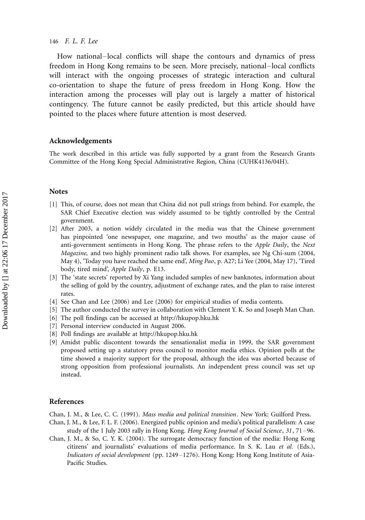146 F. L. F. Lee

How national-local conflicts will shape the contours and dynamics of press freedom in Hong Kong remains to be seen. More precisely, national-local conflicts will interact with the ongoing processes of strategic interaction and cultural co-orientation to shape the future of press freedom in Hong Kong. How the interaction among the processes will play out is largely a matter of historical contingency. The future cannot be easily predicted, but this article should have pointed to the places where future attention is most deserved.

#### Acknowledgements

The work described in this article was fully supported by a grant from the Research Grants Committee of the Hong Kong Special Administrative Region, China (CUHK4136/04H).

### **Notes**

- [1] This, of course, does not mean that China did not pull strings from behind. For example, the SAR Chief Executive election was widely assumed to be tightly controlled by the Central government.
- [2] After 2003, a notion widely circulated in the media was that the Chinese government has pinpointed 'one newspaper, one magazine, and two mouths' as the major cause of anti-government sentiments in Hong Kong. The phrase refers to the Apple Daily, the Next Magazine, and two highly prominent radio talk shows. For examples, see Ng Chi-sum (2004, May 4), 'Today you have reached the same end', *Ming Pao*, p. A27; Li Yee (2004, May 17), 'Tired body, tired mind', Apple Daily, p. E13.
- [3] The 'state secrets' reported by Xi Yang included samples of new banknotes, information about the selling of gold by the country, adjustment of exchange rates, and the plan to raise interest rates.
- [4] See Chan and Lee (2006) and Lee (2006) for empirical studies of media contents.
- [5] The author conducted the survey in collaboration with Clement Y. K. So and Joseph Man Chan.
- [6] The poll findings can be accessed at http://hkupop.hku.hk
- [7] Personal interview conducted in August 2006.
- [8] Poll findings are available at http://hkupop.hku.hk
- [9] Amidst public discontent towards the sensationalist media in 1999, the SAR government proposed setting up a statutory press council to monitor media ethics. Opinion polls at the time showed a majority support for the proposal, although the idea was aborted because of strong opposition from professional journalists. An independent press council was set up instead.

#### References

Chan, J. M., & Lee, C. C. (1991). Mass media and political transition. New York: Guilford Press.

- Chan, J. M., & Lee, F. L. F. (2006). Energized public opinion and media's political parallelism: A case study of the 1 July 2003 rally in Hong Kong. Hong Kong Journal of Social Science, 31, 71-96.
- Chan, J. M., & So, C. Y. K. (2004). The surrogate democracy function of the media: Hong Kong citizens' and journalists' evaluations of media performance. In S. K. Lau et al. (Eds.), Indicators of social development (pp. 1249–1276). Hong Kong: Hong Kong Institute of Asia-Pacific Studies.